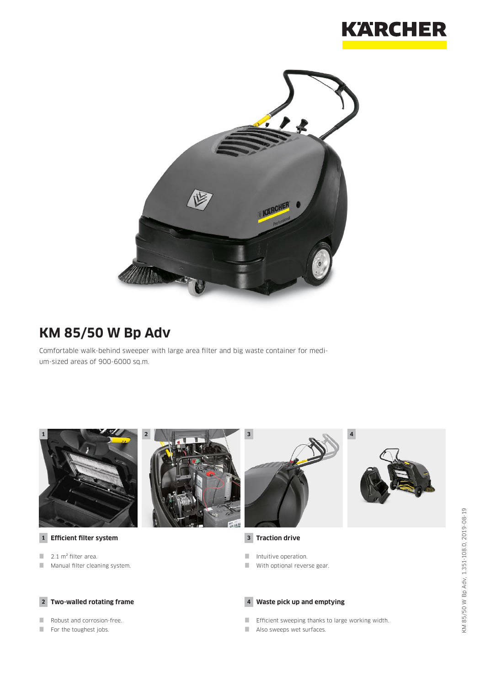



# **KM 85/50 W Bp Adv**

Comfortable walk-behind sweeper with large area filter and big waste container for medium-sized areas of 900-6000 sq.m.





**1 Efficient filter system**

- $\blacksquare$  2.1 m<sup>2</sup> filter area.
- **Manual filter cleaning system.**

#### **2 Two-walled rotating frame**

- Robust and corrosion-free.
- For the toughest jobs.





### **3 Traction drive**

- Intuitive operation.
- With optional reverse gear.

#### **4 Waste pick up and emptying**

- **Efficient sweeping thanks to large working width.**
- Also sweeps wet surfaces.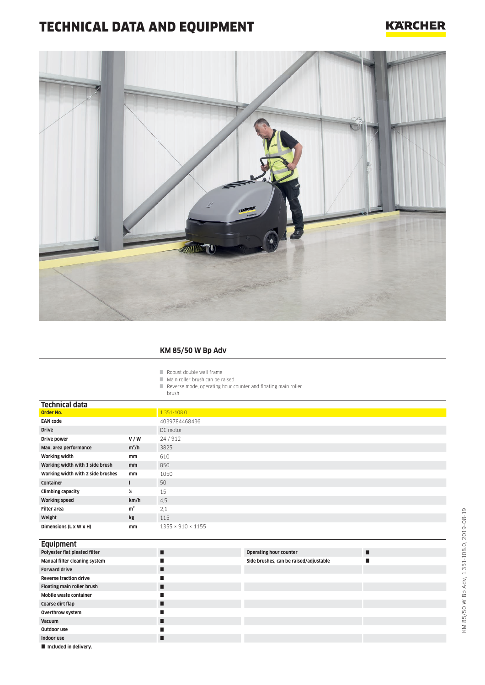# TECHNICAL DATA AND EQUIPMENT

### **KARCHER**



### **KM 85/50 W Bp Adv**

Robust double wall frame

- Main roller brush can be raised
- Reverse mode, operating hour counter and floating main roller

brush

| <b>Technical data</b>             |                |                               |                                        |   |
|-----------------------------------|----------------|-------------------------------|----------------------------------------|---|
| Order No.                         |                | 1.351-108.0                   |                                        |   |
| <b>EAN code</b>                   |                | 4039784468436                 |                                        |   |
| <b>Drive</b>                      |                | DC motor                      |                                        |   |
| Drive power                       | V/W            | 24/912                        |                                        |   |
| Max. area performance             | $m^2/h$        | 3825                          |                                        |   |
| <b>Working width</b>              | mm             | 610                           |                                        |   |
| Working width with 1 side brush   | mm             | 850                           |                                        |   |
| Working width with 2 side brushes | mm             | 1050                          |                                        |   |
| Container                         | ш              | 50                            |                                        |   |
| <b>Climbing capacity</b>          | %              | 15                            |                                        |   |
| <b>Working speed</b>              | km/h           | 4,5                           |                                        |   |
| <b>Filter area</b>                | m <sup>2</sup> | 2,1                           |                                        |   |
| Weight                            | kg             | 115                           |                                        |   |
| Dimensions (L x W x H)            | mm             | $1355 \times 910 \times 1155$ |                                        |   |
|                                   |                |                               |                                        |   |
| <b>Equipment</b>                  |                |                               |                                        |   |
| Polyester flat pleated filter     |                | п                             | <b>Operating hour counter</b>          | П |
| Manual filter cleaning cyctom     |                | п                             | Cido bruchos, can ho raisod/adjustable | ▬ |

| Polyester flat pleated filter  | П | <b>Operating hour counter</b>          |  |
|--------------------------------|---|----------------------------------------|--|
| Manual filter cleaning system  |   | Side brushes, can be raised/adjustable |  |
| <b>Forward drive</b>           |   |                                        |  |
| <b>Reverse traction drive</b>  |   |                                        |  |
| Floating main roller brush     | П |                                        |  |
| Mobile waste container         |   |                                        |  |
| Coarse dirt flap               |   |                                        |  |
| Overthrow system               |   |                                        |  |
| Vacuum                         |   |                                        |  |
| Outdoor use                    |   |                                        |  |
| Indoor use                     |   |                                        |  |
| <b>El Included in delivery</b> |   |                                        |  |

 $\blacksquare$  Included in delivery.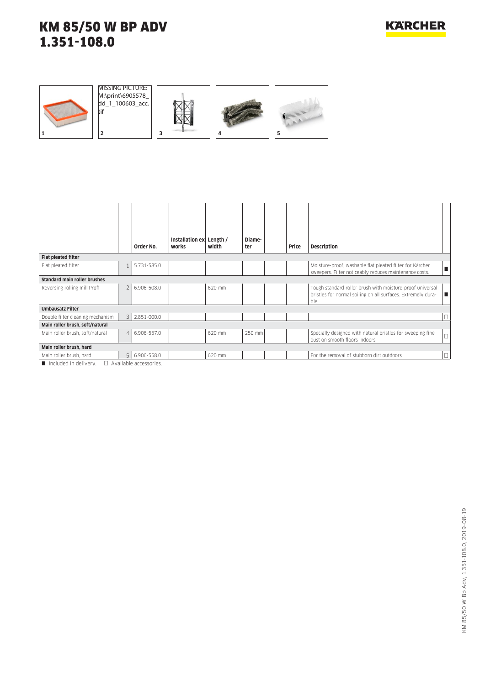







|                                                                |                          |                   | Installation ex Length / |        | Diame- |       |                                                                                                                                   |        |
|----------------------------------------------------------------|--------------------------|-------------------|--------------------------|--------|--------|-------|-----------------------------------------------------------------------------------------------------------------------------------|--------|
|                                                                |                          | Order No.         | works                    | width  | ter    | Price | <b>Description</b>                                                                                                                |        |
| <b>Flat pleated filter</b>                                     |                          |                   |                          |        |        |       |                                                                                                                                   |        |
| Flat pleated filter                                            |                          | 5.731-585.0       |                          |        |        |       | Moisture-proof, washable flat pleated filter for Kärcher<br>sweepers. Filter noticeably reduces maintenance costs.                | п      |
| <b>Standard main roller brushes</b>                            |                          |                   |                          |        |        |       |                                                                                                                                   |        |
| Reversing rolling mill Profi                                   | $\overline{\phantom{a}}$ | 6.906-508.0       |                          | 620 mm |        |       | Tough standard roller brush with moisture-proof universal<br>bristles for normal soiling on all surfaces. Extremely dura-<br>ble. |        |
| <b>Umbausatz Filter</b>                                        |                          |                   |                          |        |        |       |                                                                                                                                   |        |
| Double filter cleaning mechanism                               |                          | $3$   2.851-000.0 |                          |        |        |       |                                                                                                                                   | $\Box$ |
| Main roller brush, soft/natural                                |                          |                   |                          |        |        |       |                                                                                                                                   |        |
| Main roller brush, soft/natural                                |                          | 4 6.906-557.0     |                          | 620 mm | 250 mm |       | Specially designed with natural bristles for sweeping fine<br>dust on smooth floors indoors                                       | $\Box$ |
| Main roller brush, hard                                        |                          |                   |                          |        |        |       |                                                                                                                                   |        |
| Main roller brush, hard                                        |                          | 5 6.906-558.0     |                          | 620 mm |        |       | For the removal of stubborn dirt outdoors                                                                                         | $\Box$ |
| $\blacksquare$ Included in delivery $\Box$ Available accession |                          |                   |                          |        |        |       |                                                                                                                                   |        |

Included in delivery.  $\Box$  Available accessories.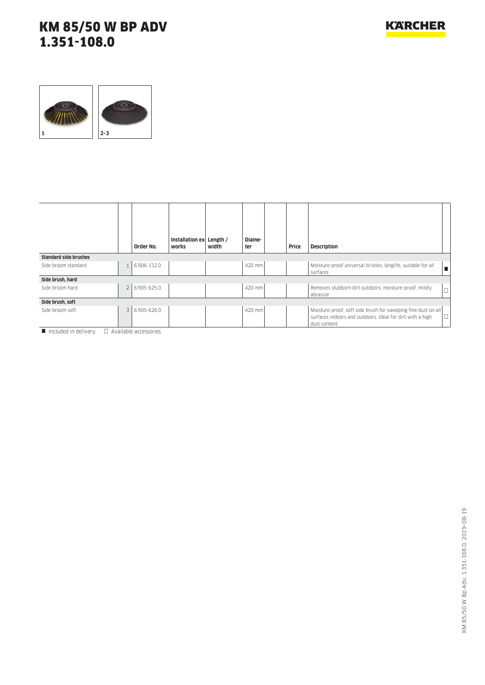

|                              |                          | Order No.   | Installation ex<br>works | Length /<br>width | Diame-<br>ter | Price | <b>Description</b>                                                                                                                          |        |
|------------------------------|--------------------------|-------------|--------------------------|-------------------|---------------|-------|---------------------------------------------------------------------------------------------------------------------------------------------|--------|
| <b>Standard side brushes</b> |                          |             |                          |                   |               |       |                                                                                                                                             |        |
| Side broom standard          |                          | 6.906-132.0 |                          |                   | 420 mm        |       | Moisture-proof universal bristles, longlife, suitable for all<br>surfaces                                                                   | п      |
| Side brush, hard             |                          |             |                          |                   |               |       |                                                                                                                                             |        |
| Side broom hard              | $\overline{\phantom{0}}$ | 6.905-625.0 |                          |                   | 420 mm        |       | Removes stubborn dirt outdoors, moisture-proof, mildly<br>abrasive                                                                          | $\Box$ |
| Side brush, soft             |                          |             |                          |                   |               |       |                                                                                                                                             |        |
| Side broom soft              | 3                        | 6.905-626.0 |                          |                   | 420 mm        |       | Moisture-proof, soft side brush for sweeping fine dust on all<br>surfaces indoors and outdoors. Ideal for dirt with a high<br>dust content. | $\Box$ |

 $\blacksquare$  Included in delivery.  $\square$  Available accessories.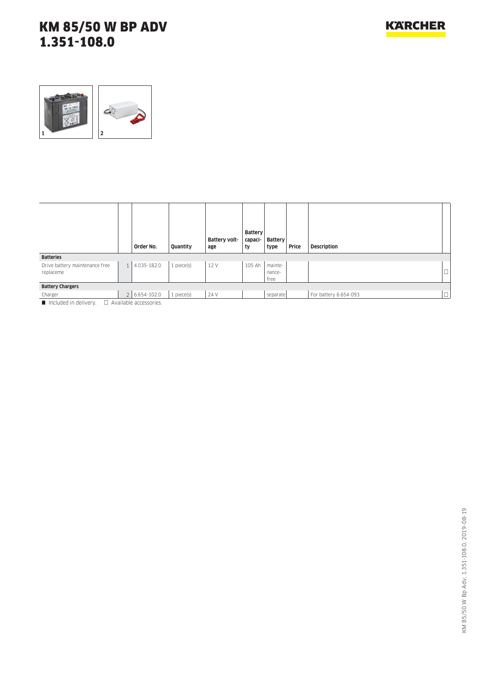

|                                             |              | Order No.                   | Quantity        | Battery volt-<br>age | Battery<br>capaci-<br>ty | Battery<br>type           | Price | <b>Description</b>    |        |
|---------------------------------------------|--------------|-----------------------------|-----------------|----------------------|--------------------------|---------------------------|-------|-----------------------|--------|
| <b>Batteries</b>                            |              |                             |                 |                      |                          |                           |       |                       |        |
| Drive battery maintenance free<br>replaceme | $\mathbf{1}$ | 4.035-182.0                 | $1$ piece $(s)$ | 12 V                 | 105 Ah                   | mainte-<br>nance-<br>free |       |                       | $\Box$ |
| <b>Battery Chargers</b>                     |              |                             |                 |                      |                          |                           |       |                       |        |
| Charger                                     |              | 2 6.654-102.0               | 1 piece(s)      | 24 V                 |                          | separate                  |       | For battery 6.654-093 | $\Box$ |
| Included in delivery                        |              | $\Box$ Available accordance |                 |                      |                          |                           |       |                       |        |

Included in delivery.  $\Box$  Available accessories.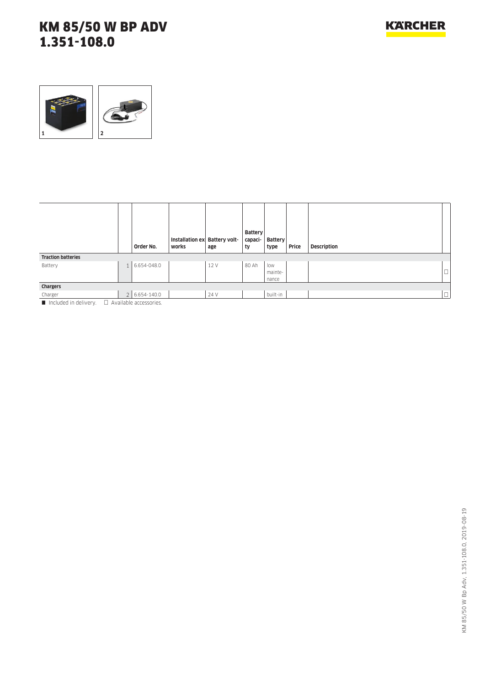

|                           | Order No.                    | Installation ex Battery volt-<br>works | age  | <b>Battery</b><br>capaci-<br>ty | <b>Battery</b><br>type  | Price | Description |        |
|---------------------------|------------------------------|----------------------------------------|------|---------------------------------|-------------------------|-------|-------------|--------|
| <b>Traction batteries</b> |                              |                                        |      |                                 |                         |       |             |        |
| Battery                   | 1 6.654-048.0                |                                        | 12 V | 80 Ah                           | low<br>mainte-<br>nance |       |             | $\Box$ |
| Chargers                  |                              |                                        |      |                                 |                         |       |             |        |
| Charger                   | 2 6.654-140.0                |                                        | 24 V |                                 | built-in                |       |             | $\Box$ |
| Included in delivery      | $\Box$ Available accessories |                                        |      |                                 |                         |       |             |        |

Included in delivery.  $\Box$  Available accessories.